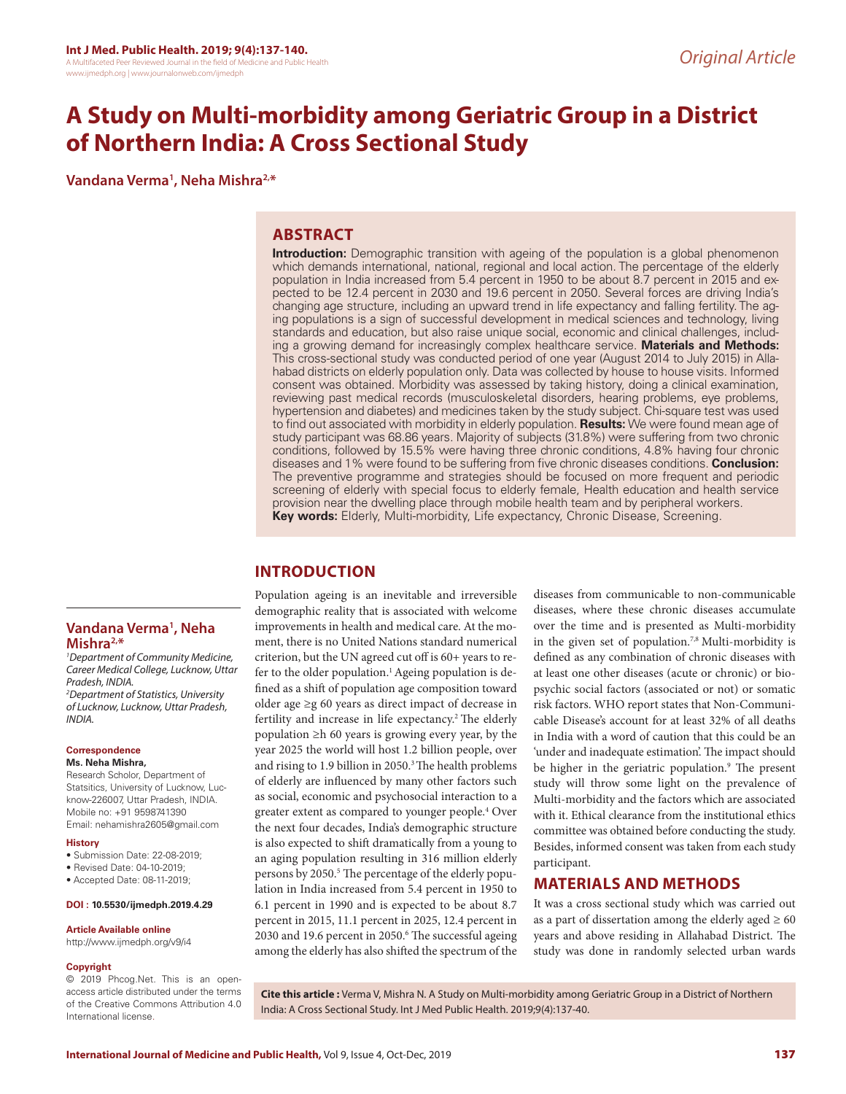# **A Study on Multi-morbidity among Geriatric Group in a District of Northern India: A Cross Sectional Study**

**Vandana Verma1 , Neha Mishra2,\***

# **ABSTRACT**

**Introduction:** Demographic transition with ageing of the population is a global phenomenon which demands international, national, regional and local action. The percentage of the elderly population in India increased from 5.4 percent in 1950 to be about 8.7 percent in 2015 and expected to be 12.4 percent in 2030 and 19.6 percent in 2050. Several forces are driving India's changing age structure, including an upward trend in life expectancy and falling fertility. The aging populations is a sign of successful development in medical sciences and technology, living standards and education, but also raise unique social, economic and clinical challenges, including a growing demand for increasingly complex healthcare service. **Materials and Methods:**  This cross-sectional study was conducted period of one year (August 2014 to July 2015) in Allahabad districts on elderly population only. Data was collected by house to house visits. Informed consent was obtained. Morbidity was assessed by taking history, doing a clinical examination, reviewing past medical records (musculoskeletal disorders, hearing problems, eye problems, hypertension and diabetes) and medicines taken by the study subject. Chi-square test was used to find out associated with morbidity in elderly population. **Results:** We were found mean age of study participant was 68.86 years. Majority of subjects (31.8%) were suffering from two chronic conditions, followed by 15.5% were having three chronic conditions, 4.8% having four chronic diseases and 1% were found to be suffering from five chronic diseases conditions. **Conclusion:** The preventive programme and strategies should be focused on more frequent and periodic screening of elderly with special focus to elderly female, Health education and health service provision near the dwelling place through mobile health team and by peripheral workers. **Key words:** Elderly, Multi-morbidity, Life expectancy, Chronic Disease, Screening.

# **INTRODUCTION**

Population ageing is an inevitable and irreversible demographic reality that is associated with welcome improvements in health and medical care. At the moment, there is no United Nations standard numerical criterion, but the UN agreed cut off is 60+ years to refer to the older population.<sup>1</sup> Ageing population is defined as a shift of population age composition toward older age ≥g 60 years as direct impact of decrease in fertility and increase in life expectancy.<sup>2</sup> The elderly population ≥h 60 years is growing every year, by the year 2025 the world will host 1.2 billion people, over and rising to 1.9 billion in 2050.<sup>3</sup> The health problems of elderly are influenced by many other factors such as social, economic and psychosocial interaction to a greater extent as compared to younger people.4 Over the next four decades, India's demographic structure is also expected to shift dramatically from a young to an aging population resulting in 316 million elderly persons by 2050.<sup>5</sup> The percentage of the elderly population in India increased from 5.4 percent in 1950 to 6.1 percent in 1990 and is expected to be about 8.7 percent in 2015, 11.1 percent in 2025, 12.4 percent in 2030 and 19.6 percent in 2050.<sup>6</sup> The successful ageing among the elderly has also shifted the spectrum of the

diseases from communicable to non-communicable diseases, where these chronic diseases accumulate over the time and is presented as Multi-morbidity in the given set of population.7,8 Multi-morbidity is defined as any combination of chronic diseases with at least one other diseases (acute or chronic) or biopsychic social factors (associated or not) or somatic risk factors. WHO report states that Non-Communicable Disease's account for at least 32% of all deaths in India with a word of caution that this could be an 'under and inadequate estimation'. The impact should be higher in the geriatric population.<sup>9</sup> The present study will throw some light on the prevalence of Multi-morbidity and the factors which are associated with it. Ethical clearance from the institutional ethics committee was obtained before conducting the study. Besides, informed consent was taken from each study participant.

# **MATERIALS AND METHODS**

It was a cross sectional study which was carried out as a part of dissertation among the elderly aged  $\geq 60$ years and above residing in Allahabad District. The study was done in randomly selected urban wards

# **Vandana Verma1 , Neha Mishra2,\***

*1 Department of Community Medicine, Career Medical College, Lucknow, Uttar Pradesh, INDIA.*

*2 Department of Statistics, University of Lucknow, Lucknow, Uttar Pradesh, INDIA.*

#### **Correspondence Ms. Neha Mishra,**

Research Scholor, Department of Statsitics, University of Lucknow, Lucknow-226007, Uttar Pradesh, INDIA. Mobile no: +91 9598741390 Email: nehamishra2605@gmail.com

#### **History**

- Submission Date: 22-08-2019;
- Revised Date: 04-10-2019;
- Accepted Date: 08-11-2019;

#### **DOI : 10.5530/ijmedph.2019.4.29**

#### **Article Available online**

http://www.ijmedph.org/v9/i4

#### **Copyright**

© 2019 Phcog.Net. This is an openaccess article distributed under the terms of the Creative Commons Attribution 4.0 International license.

**Cite this article :** Verma V, Mishra N. A Study on Multi-morbidity among Geriatric Group in a District of Northern India: A Cross Sectional Study. Int J Med Public Health. 2019;9(4):137-40.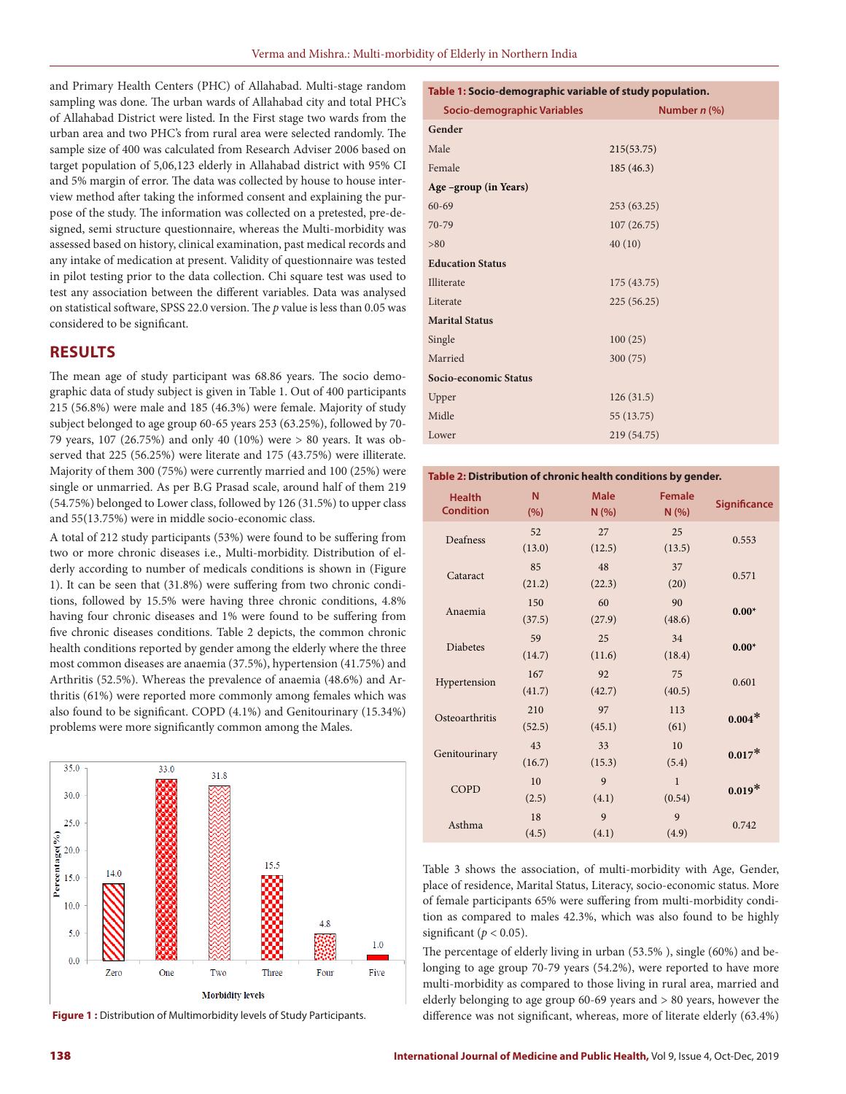and Primary Health Centers (PHC) of Allahabad. Multi-stage random sampling was done. The urban wards of Allahabad city and total PHC's of Allahabad District were listed. In the First stage two wards from the urban area and two PHC's from rural area were selected randomly. The sample size of 400 was calculated from Research Adviser 2006 based on target population of 5,06,123 elderly in Allahabad district with 95% CI and 5% margin of error. The data was collected by house to house interview method after taking the informed consent and explaining the purpose of the study. The information was collected on a pretested, pre-designed, semi structure questionnaire, whereas the Multi-morbidity was assessed based on history, clinical examination, past medical records and any intake of medication at present. Validity of questionnaire was tested in pilot testing prior to the data collection. Chi square test was used to test any association between the different variables. Data was analysed on statistical software, SPSS 22.0 version. The *p* value is less than 0.05 was considered to be significant.

### **RESULTS**

The mean age of study participant was 68.86 years. The socio demographic data of study subject is given in Table 1. Out of 400 participants 215 (56.8%) were male and 185 (46.3%) were female. Majority of study subject belonged to age group 60-65 years 253 (63.25%), followed by 70- 79 years, 107 (26.75%) and only 40 (10%) were > 80 years. It was observed that 225 (56.25%) were literate and 175 (43.75%) were illiterate. Majority of them 300 (75%) were currently married and 100 (25%) were single or unmarried. As per B.G Prasad scale, around half of them 219 (54.75%) belonged to Lower class, followed by 126 (31.5%) to upper class and 55(13.75%) were in middle socio-economic class.

A total of 212 study participants (53%) were found to be suffering from two or more chronic diseases i.e., Multi-morbidity. Distribution of elderly according to number of medicals conditions is shown in (Figure 1). It can be seen that (31.8%) were suffering from two chronic conditions, followed by 15.5% were having three chronic conditions, 4.8% having four chronic diseases and 1% were found to be suffering from five chronic diseases conditions. Table 2 depicts, the common chronic health conditions reported by gender among the elderly where the three most common diseases are anaemia (37.5%), hypertension (41.75%) and Arthritis (52.5%). Whereas the prevalence of anaemia (48.6%) and Arthritis (61%) were reported more commonly among females which was also found to be significant. COPD (4.1%) and Genitourinary (15.34%) problems were more significantly common among the Males.



**Table 1: Socio-demographic variable of study population.**

| Socio-demographic Variables | Number n (%) |
|-----------------------------|--------------|
| Gender                      |              |
| Male                        | 215(53.75)   |
| Female                      | 185(46.3)    |
| Age –group (in Years)       |              |
| $60 - 69$                   | 253 (63.25)  |
| 70-79                       | 107(26.75)   |
| > 80                        | 40(10)       |
| <b>Education Status</b>     |              |
| Illiterate                  | 175 (43.75)  |
| Literate                    | 225(56.25)   |
| <b>Marital Status</b>       |              |
| Single                      | 100(25)      |
| Married                     | 300(75)      |
| Socio-economic Status       |              |
| Upper                       | 126(31.5)    |
| Midle                       | 55 (13.75)   |
| Lower                       | 219 (54.75)  |

#### **Table 2: Distribution of chronic health conditions by gender.**

| <b>Health</b><br><b>Condition</b> | N<br>(%) | <b>Male</b><br>N(% ) | <b>Female</b><br>N(% ) | <b>Significance</b> |
|-----------------------------------|----------|----------------------|------------------------|---------------------|
| Deafness                          | 52       | 27                   | 25                     |                     |
|                                   | (13.0)   | (12.5)               | (13.5)                 | 0.553               |
| Cataract                          | 85       | 48                   | 37                     |                     |
|                                   | (21.2)   | (22.3)               | (20)                   | 0.571               |
| Anaemia                           | 150      | 60                   | 90                     |                     |
|                                   | (37.5)   | (27.9)               | (48.6)                 | $0.00*$             |
| Diabetes                          | 59       | 25                   | 34                     | $0.00*$             |
|                                   | (14.7)   | (11.6)               | (18.4)                 |                     |
| Hypertension                      | 167      | 92                   | 75                     | 0.601               |
|                                   | (41.7)   | (42.7)               | (40.5)                 |                     |
| Osteoarthritis                    | 210      | 97                   | 113                    | $0.004*$            |
|                                   | (52.5)   | (45.1)               | (61)                   |                     |
| Genitourinary                     | 43       | 33                   | 10                     | $0.017*$            |
|                                   | (16.7)   | (15.3)               | (5.4)                  |                     |
| COPD                              | 10       | 9                    | $\mathbf{1}$           | $0.019*$            |
|                                   | (2.5)    | (4.1)                | (0.54)                 |                     |
| Asthma                            | 18       | 9                    | 9                      | 0.742               |
|                                   | (4.5)    | (4.1)                | (4.9)                  |                     |

Table 3 shows the association, of multi-morbidity with Age, Gender, place of residence, Marital Status, Literacy, socio-economic status. More of female participants 65% were suffering from multi-morbidity condition as compared to males 42.3%, which was also found to be highly significant ( $p < 0.05$ ).

The percentage of elderly living in urban (53.5% ), single (60%) and belonging to age group 70-79 years (54.2%), were reported to have more multi-morbidity as compared to those living in rural area, married and elderly belonging to age group 60-69 years and > 80 years, however the Figure 1 : Distribution of Multimorbidity levels of Study Participants. difference was not significant, whereas, more of literate elderly (63.4%)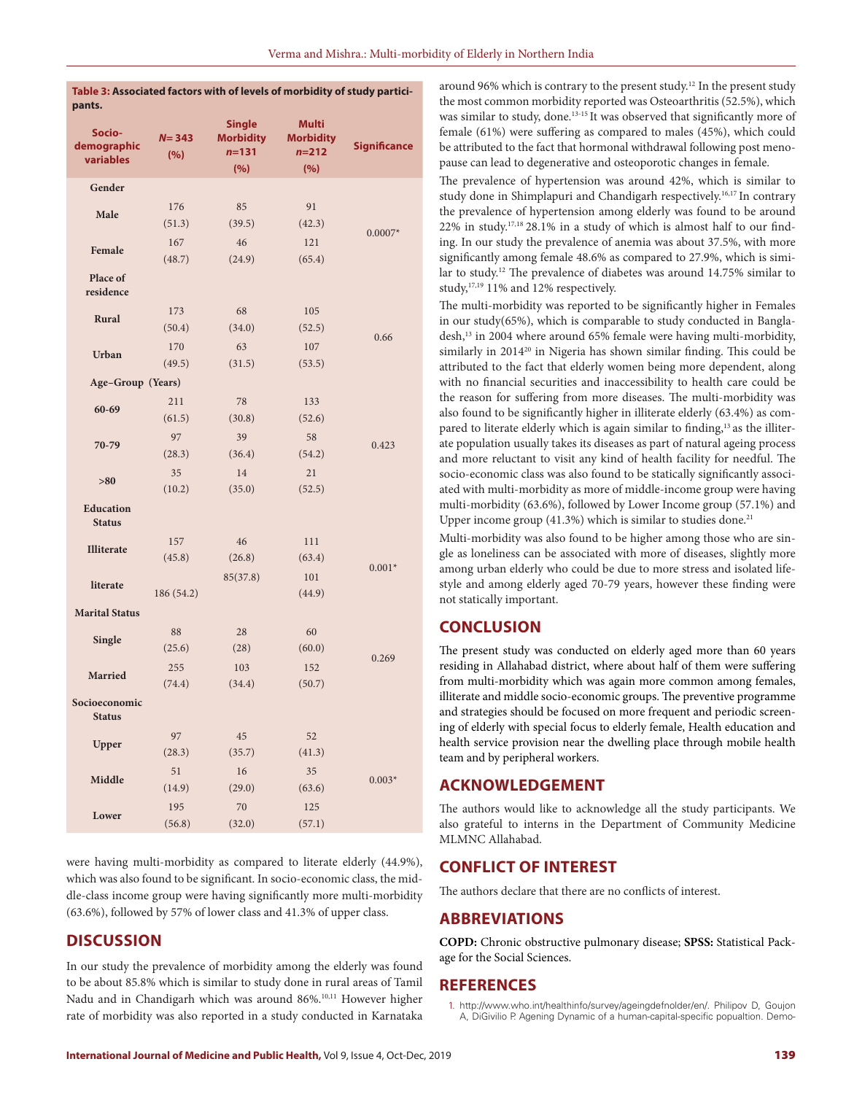| pants.                             |                  |                                                       |                                                      |                     |
|------------------------------------|------------------|-------------------------------------------------------|------------------------------------------------------|---------------------|
| Socio-<br>demographic<br>variables | $N = 343$<br>(%) | <b>Single</b><br><b>Morbidity</b><br>$n = 131$<br>(%) | <b>Multi</b><br><b>Morbidity</b><br>$n = 212$<br>(%) | <b>Significance</b> |
| Gender                             |                  |                                                       |                                                      |                     |
|                                    | 176              | 85                                                    | 91                                                   |                     |
| Male                               | (51.3)           | (39.5)                                                | (42.3)                                               |                     |
| Female                             | 167              | 46                                                    | 121                                                  | $0.0007*$           |
|                                    | (48.7)           | (24.9)                                                | (65.4)                                               |                     |
| Place of<br>residence              |                  |                                                       |                                                      |                     |
| Rural                              | 173              | 68                                                    | 105                                                  |                     |
|                                    | (50.4)           | (34.0)                                                | (52.5)                                               | 0.66                |
| <b>Urban</b>                       | 170              | 63                                                    | 107                                                  |                     |
|                                    | (49.5)           | (31.5)                                                | (53.5)                                               |                     |
| Age-Group (Years)                  |                  |                                                       |                                                      |                     |
| 60-69                              | 211              | 78                                                    | 133                                                  |                     |
|                                    | (61.5)           | (30.8)                                                | (52.6)                                               |                     |
| 70-79                              | 97               | 39                                                    | 58                                                   | 0.423               |
|                                    | (28.3)           | (36.4)                                                | (54.2)                                               |                     |
| >80                                | 35               | 14                                                    | 21                                                   |                     |
| <b>Education</b><br><b>Status</b>  | (10.2)           | (35.0)                                                | (52.5)                                               |                     |
|                                    | 157              | 46                                                    | 111                                                  |                     |
| <b>Illiterate</b>                  | (45.8)           | (26.8)                                                | (63.4)                                               | $0.001*$            |
| literate                           |                  | 85(37.8)                                              | 101                                                  |                     |
|                                    | 186 (54.2)       |                                                       | (44.9)                                               |                     |
| <b>Marital Status</b>              |                  |                                                       |                                                      |                     |
| Single                             | 88               | 28                                                    | 60                                                   |                     |
|                                    | (25.6)           | (28)                                                  | (60.0)                                               | 0.269               |
| <b>Married</b>                     | 255              | 103                                                   | 152                                                  |                     |
|                                    | (74.4)           | (34.4)                                                | (50.7)                                               |                     |
| Socioeconomic<br><b>Status</b>     |                  |                                                       |                                                      |                     |
| Upper                              | 97               | $45\,$                                                | 52                                                   |                     |
|                                    | (28.3)           | (35.7)                                                | (41.3)                                               |                     |
| Middle                             | 51               | 16                                                    | 35                                                   | $0.003*$            |
|                                    | (14.9)           | (29.0)                                                | (63.6)                                               |                     |
| Lower                              | 195              | 70                                                    | 125                                                  |                     |
|                                    | (56.8)           | (32.0)                                                | (57.1)                                               |                     |

**Table 3: Associated factors with of levels of morbidity of study partici-**

were having multi-morbidity as compared to literate elderly (44.9%), which was also found to be significant. In socio-economic class, the middle-class income group were having significantly more multi-morbidity (63.6%), followed by 57% of lower class and 41.3% of upper class.

# **DISCUSSION**

In our study the prevalence of morbidity among the elderly was found to be about 85.8% which is similar to study done in rural areas of Tamil Nadu and in Chandigarh which was around 86%.10,11 However higher rate of morbidity was also reported in a study conducted in Karnataka

around 96% which is contrary to the present study.<sup>12</sup> In the present study the most common morbidity reported was Osteoarthritis (52.5%), which was similar to study, done.<sup>13-15</sup> It was observed that significantly more of female (61%) were suffering as compared to males (45%), which could be attributed to the fact that hormonal withdrawal following post menopause can lead to degenerative and osteoporotic changes in female.

The prevalence of hypertension was around 42%, which is similar to study done in Shimplapuri and Chandigarh respectively.<sup>16,17</sup> In contrary the prevalence of hypertension among elderly was found to be around 22% in study.17,18 28.1% in a study of which is almost half to our finding. In our study the prevalence of anemia was about 37.5%, with more significantly among female 48.6% as compared to 27.9%, which is similar to study.12 The prevalence of diabetes was around 14.75% similar to study,17,19 11% and 12% respectively.

The multi-morbidity was reported to be significantly higher in Females in our study(65%), which is comparable to study conducted in Bangladesh,<sup>13</sup> in 2004 where around 65% female were having multi-morbidity, similarly in 2014<sup>20</sup> in Nigeria has shown similar finding. This could be attributed to the fact that elderly women being more dependent, along with no financial securities and inaccessibility to health care could be the reason for suffering from more diseases. The multi-morbidity was also found to be significantly higher in illiterate elderly (63.4%) as compared to literate elderly which is again similar to finding,<sup>13</sup> as the illiterate population usually takes its diseases as part of natural ageing process and more reluctant to visit any kind of health facility for needful. The socio-economic class was also found to be statically significantly associated with multi-morbidity as more of middle-income group were having multi-morbidity (63.6%), followed by Lower Income group (57.1%) and Upper income group  $(41.3%)$  which is similar to studies done.<sup>21</sup>

Multi-morbidity was also found to be higher among those who are single as loneliness can be associated with more of diseases, slightly more among urban elderly who could be due to more stress and isolated lifestyle and among elderly aged 70-79 years, however these finding were not statically important.

# **CONCLUSION**

The present study was conducted on elderly aged more than 60 years residing in Allahabad district, where about half of them were suffering from multi-morbidity which was again more common among females, illiterate and middle socio-economic groups. The preventive programme and strategies should be focused on more frequent and periodic screening of elderly with special focus to elderly female, Health education and health service provision near the dwelling place through mobile health team and by peripheral workers.

### **ACKNOWLEDGEMENT**

The authors would like to acknowledge all the study participants. We also grateful to interns in the Department of Community Medicine MLMNC Allahabad.

# **CONFLICT OF INTEREST**

The authors declare that there are no conflicts of interest.

# **ABBREVIATIONS**

**COPD:** Chronic obstructive pulmonary disease; **SPSS:** Statistical Package for the Social Sciences.

# **REFERENCES**

<sup>1.</sup> http://www.who.int/healthinfo/survey/ageingdefnolder/en/. Philipov D, Goujon A, DiGivilio P. Agening Dynamic of a human-capital-specific popualtion. Demo-